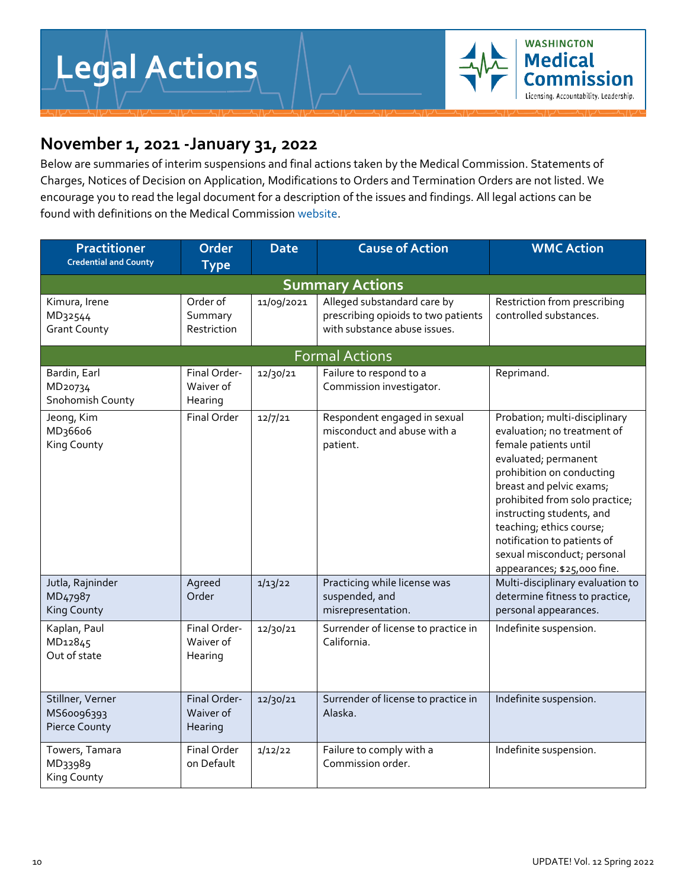

## **November 1, 2021 -January 31, 2022**

Below are summaries of interim suspensions and final actions taken by the Medical Commission. Statements of Charges, Notices of Decision on Application, Modifications to Orders and Termination Orders are not listed. We encourage you to read the legal document for a description of the issues and findings. All legal actions can be found with definitions on the Medical Commissio[n website.](https://wmc.wa.gov/complaints-actions/legal-actions)

| <b>Practitioner</b><br><b>Credential and County</b>            | Order<br><b>Type</b>                 | <b>Date</b> | <b>Cause of Action</b>                                                                             | <b>WMC Action</b>                                                                                                                                                                                                                                                                                                                                              |  |  |  |  |
|----------------------------------------------------------------|--------------------------------------|-------------|----------------------------------------------------------------------------------------------------|----------------------------------------------------------------------------------------------------------------------------------------------------------------------------------------------------------------------------------------------------------------------------------------------------------------------------------------------------------------|--|--|--|--|
| <b>Summary Actions</b>                                         |                                      |             |                                                                                                    |                                                                                                                                                                                                                                                                                                                                                                |  |  |  |  |
| Kimura, Irene<br>MD32544<br><b>Grant County</b>                | Order of<br>Summary<br>Restriction   | 11/09/2021  | Alleged substandard care by<br>prescribing opioids to two patients<br>with substance abuse issues. | Restriction from prescribing<br>controlled substances.                                                                                                                                                                                                                                                                                                         |  |  |  |  |
|                                                                |                                      |             | <b>Formal Actions</b>                                                                              |                                                                                                                                                                                                                                                                                                                                                                |  |  |  |  |
| Bardin, Earl<br>MD20734<br>Snohomish County                    | Final Order-<br>Waiver of<br>Hearing | 12/30/21    | Failure to respond to a<br>Commission investigator.                                                | Reprimand.                                                                                                                                                                                                                                                                                                                                                     |  |  |  |  |
| Jeong, Kim<br>MD <sub>3</sub> 66o6<br>King County              | Final Order                          | 12/7/21     | Respondent engaged in sexual<br>misconduct and abuse with a<br>patient.                            | Probation; multi-disciplinary<br>evaluation; no treatment of<br>female patients until<br>evaluated; permanent<br>prohibition on conducting<br>breast and pelvic exams;<br>prohibited from solo practice;<br>instructing students, and<br>teaching; ethics course;<br>notification to patients of<br>sexual misconduct; personal<br>appearances; \$25,000 fine. |  |  |  |  |
| Jutla, Rajninder<br>MD <sub>479</sub> 87<br><b>King County</b> | Agreed<br>Order                      | 1/13/22     | Practicing while license was<br>suspended, and<br>misrepresentation.                               | Multi-disciplinary evaluation to<br>determine fitness to practice,<br>personal appearances.                                                                                                                                                                                                                                                                    |  |  |  |  |
| Kaplan, Paul<br>MD12845<br>Out of state                        | Final Order-<br>Waiver of<br>Hearing | 12/30/21    | Surrender of license to practice in<br>California.                                                 | Indefinite suspension.                                                                                                                                                                                                                                                                                                                                         |  |  |  |  |
| Stillner, Verner<br>MS60096393<br>Pierce County                | Final Order-<br>Waiver of<br>Hearing | 12/30/21    | Surrender of license to practice in<br>Alaska.                                                     | Indefinite suspension.                                                                                                                                                                                                                                                                                                                                         |  |  |  |  |
| Towers, Tamara<br>MD33989<br>King County                       | <b>Final Order</b><br>on Default     | 1/12/22     | Failure to comply with a<br>Commission order.                                                      | Indefinite suspension.                                                                                                                                                                                                                                                                                                                                         |  |  |  |  |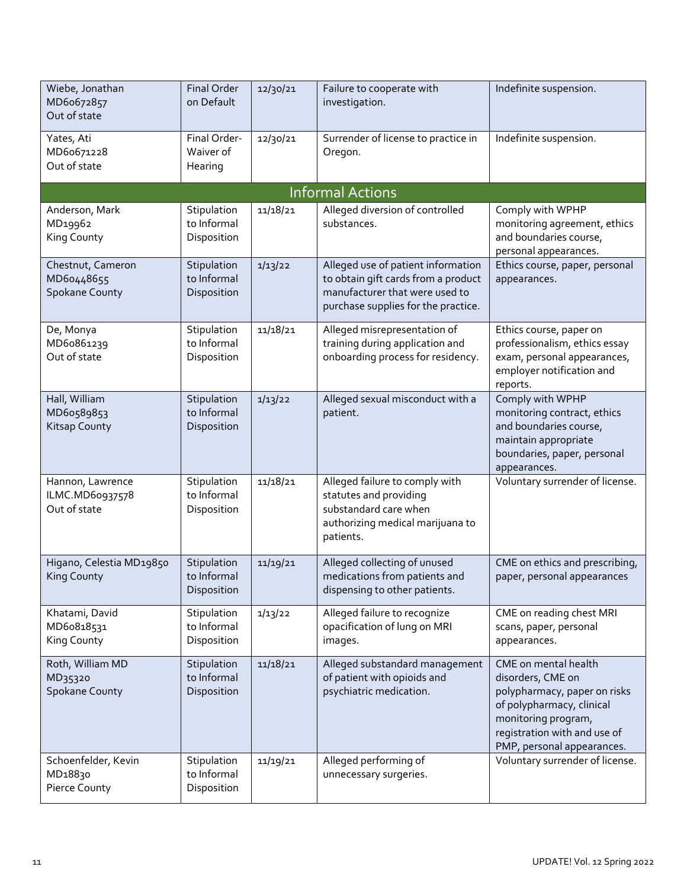| Wiebe, Jonathan<br>MD6o672857<br>Out of state               | Final Order<br>on Default                 | 12/30/21 | Failure to cooperate with<br>investigation.                                                                                                        | Indefinite suspension.                                                                                                                                                                      |
|-------------------------------------------------------------|-------------------------------------------|----------|----------------------------------------------------------------------------------------------------------------------------------------------------|---------------------------------------------------------------------------------------------------------------------------------------------------------------------------------------------|
| Yates, Ati<br>MD60671228<br>Out of state                    | Final Order-<br>Waiver of<br>Hearing      | 12/30/21 | Surrender of license to practice in<br>Oregon.                                                                                                     | Indefinite suspension.                                                                                                                                                                      |
|                                                             |                                           |          | <b>Informal Actions</b>                                                                                                                            |                                                                                                                                                                                             |
| Anderson, Mark<br>MD19962<br>King County                    | Stipulation<br>to Informal<br>Disposition | 11/18/21 | Alleged diversion of controlled<br>substances.                                                                                                     | Comply with WPHP<br>monitoring agreement, ethics<br>and boundaries course,<br>personal appearances.                                                                                         |
| Chestnut, Cameron<br>MD60448655<br><b>Spokane County</b>    | Stipulation<br>to Informal<br>Disposition | 1/13/22  | Alleged use of patient information<br>to obtain gift cards from a product<br>manufacturer that were used to<br>purchase supplies for the practice. | Ethics course, paper, personal<br>appearances.                                                                                                                                              |
| De, Monya<br>MD6o861239<br>Out of state                     | Stipulation<br>to Informal<br>Disposition | 11/18/21 | Alleged misrepresentation of<br>training during application and<br>onboarding process for residency.                                               | Ethics course, paper on<br>professionalism, ethics essay<br>exam, personal appearances,<br>employer notification and<br>reports.                                                            |
| Hall, William<br>MD60589853<br>Kitsap County                | Stipulation<br>to Informal<br>Disposition | 1/13/22  | Alleged sexual misconduct with a<br>patient.                                                                                                       | Comply with WPHP<br>monitoring contract, ethics<br>and boundaries course,<br>maintain appropriate<br>boundaries, paper, personal<br>appearances.                                            |
| Hannon, Lawrence<br>ILMC.MD60937578<br>Out of state         | Stipulation<br>to Informal<br>Disposition | 11/18/21 | Alleged failure to comply with<br>statutes and providing<br>substandard care when<br>authorizing medical marijuana to<br>patients.                 | Voluntary surrender of license.                                                                                                                                                             |
| Higano, Celestia MD19850<br><b>King County</b>              | Stipulation<br>to Informal<br>Disposition | 11/19/21 | Alleged collecting of unused<br>medications from patients and<br>dispensing to other patients.                                                     | CME on ethics and prescribing,<br>paper, personal appearances                                                                                                                               |
| Khatami, David<br>MD60818531<br>King County                 | Stipulation<br>to Informal<br>Disposition | 1/13/22  | Alleged failure to recognize<br>opacification of lung on MRI<br>images.                                                                            | CME on reading chest MRI<br>scans, paper, personal<br>appearances.                                                                                                                          |
| Roth, William MD<br>MD35320<br>Spokane County               | Stipulation<br>to Informal<br>Disposition | 11/18/21 | Alleged substandard management<br>of patient with opioids and<br>psychiatric medication.                                                           | CME on mental health<br>disorders, CME on<br>polypharmacy, paper on risks<br>of polypharmacy, clinical<br>monitoring program,<br>registration with and use of<br>PMP, personal appearances. |
| Schoenfelder, Kevin<br>MD <sub>18830</sub><br>Pierce County | Stipulation<br>to Informal<br>Disposition | 11/19/21 | Alleged performing of<br>unnecessary surgeries.                                                                                                    | Voluntary surrender of license.                                                                                                                                                             |